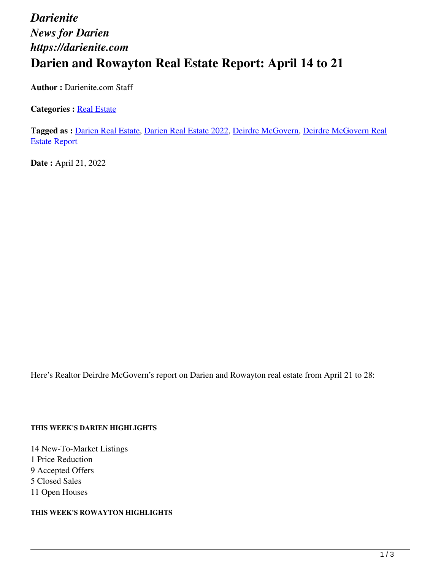# *Darienite News for Darien https://darienite.com* **Darien and Rowayton Real Estate Report: April 14 to 21**

**Author :** Darienite.com Staff

**Categories : [Real Estate](https://darienite.com/category/real-estate)** 

**Tagged as :** Darien Real Estate, Darien Real Estate 2022, Deirdre McGovern, Deirdre McGovern Real Estate Report

**Date :** April 21, 2022

Here's Realtor Deirdre McGovern's report on Darien and Rowayton real estate from April 21 to 28:

#### **THIS WEEK'S DARIEN HIGHLIGHTS**

14 New-To-Market Listings 1 Price Reduction 9 Accepted Offers 5 Closed Sales 11 Open Houses

**THIS WEEK'S ROWAYTON HIGHLIGHTS**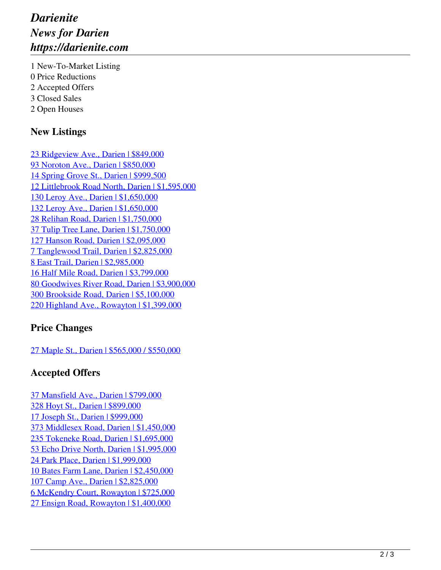## *Darienite News for Darien https://darienite.com*

1 New-To-Market Listing 0 Price Reductions 2 Accepted Offers 3 Closed Sales 2 Open Houses

### **New Listings**

23 Ridgeview Ave., Darien | \$849,000 93 Noroton Ave., Darien | \$850,000 14 Spring Grove St., Darien | \$999,500 12 Littlebrook Road North, Darien | \$1,595,000 130 Leroy Ave., Darien | \$1,650,000 132 Leroy Ave., Darien | \$1,650,000 28 Relihan Road, Darien | \$1,750,000 37 Tulip Tree Lane, Darien | \$1,750,000 127 Hanson Road, Darien | \$2,095,000 7 Tanglewood Trail, Darien | \$2,825,000 8 East Trail, Darien | \$2,985,000 16 Half Mile Road, Darien | \$3,799,000 80 Goodwives River Road, Darien | \$3,900,000 300 Brookside Road, Darien | \$5,100,000 220 Highland Ave., Rowayton | \$1,399,000

#### **Price Changes**

27 Maple St., Darien | \$565,000 / \$550,000

#### **Accepted Offers**

37 Mansfield Ave., Darien | \$799,000 328 Hoyt St., Darien | \$899,000 17 Joseph St., Darien | \$999,000 373 Middlesex Road, Darien | \$1,450,000 235 Tokeneke Road, Darien | \$1,695,000 53 Echo Drive North, Darien | \$1,995,000 24 Park Place, Darien | \$1,999,000 10 Bates Farm Lane, Darien | \$2,450,000 107 Camp Ave., Darien | \$2,825,000 6 McKendry Court, Rowayton | \$725,000 27 Ensign Road, Rowayton | \$1,400,000